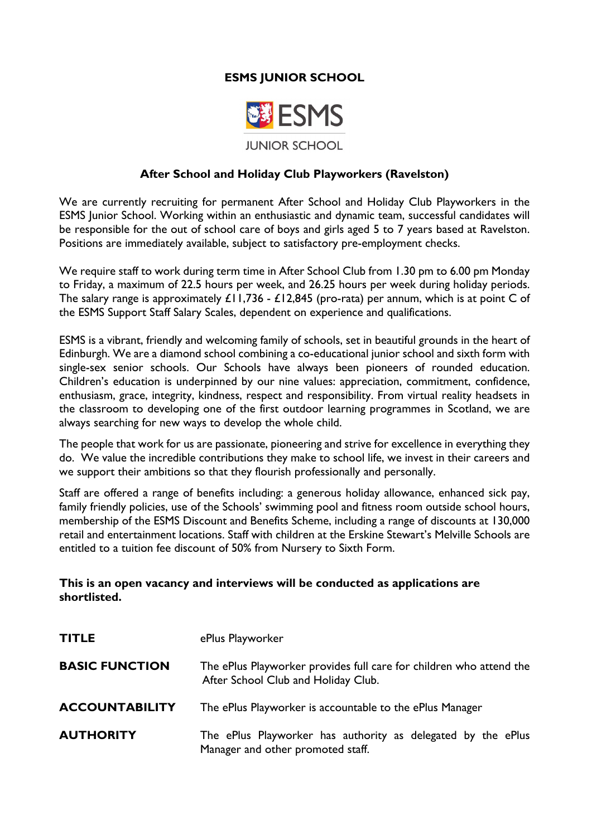# **ESMS JUNIOR SCHOOL**



#### **After School and Holiday Club Playworkers (Ravelston)**

We are currently recruiting for permanent After School and Holiday Club Playworkers in the ESMS Junior School. Working within an enthusiastic and dynamic team, successful candidates will be responsible for the out of school care of boys and girls aged 5 to 7 years based at Ravelston. Positions are immediately available, subject to satisfactory pre-employment checks.

We require staff to work during term time in After School Club from 1.30 pm to 6.00 pm Monday to Friday, a maximum of 22.5 hours per week, and 26.25 hours per week during holiday periods. The salary range is approximately £11,736 - £12,845 (pro-rata) per annum, which is at point C of the ESMS Support Staff Salary Scales, dependent on experience and qualifications.

ESMS is a vibrant, friendly and welcoming family of schools, set in beautiful grounds in the heart of Edinburgh. We are a diamond school combining a co-educational junior school and sixth form with single-sex senior schools. Our Schools have always been pioneers of rounded education. Children's education is underpinned by our nine values: appreciation, commitment, confidence, enthusiasm, grace, integrity, kindness, respect and responsibility. From virtual reality headsets in the classroom to developing one of the first outdoor learning programmes in Scotland, we are always searching for new ways to develop the whole child.

The people that work for us are passionate, pioneering and strive for excellence in everything they do. We value the incredible contributions they make to school life, we invest in their careers and we support their ambitions so that they flourish professionally and personally.

Staff are offered a range of benefits including: a generous holiday allowance, enhanced sick pay, family friendly policies, use of the Schools' swimming pool and fitness room outside school hours, membership of the ESMS Discount and Benefits Scheme, including a range of discounts at 130,000 retail and entertainment locations. Staff with children at the Erskine Stewart's Melville Schools are entitled to a tuition fee discount of 50% from Nursery to Sixth Form.

#### **This is an open vacancy and interviews will be conducted as applications are shortlisted.**

| <b>TITLE</b>          | ePlus Playworker                                                                                           |
|-----------------------|------------------------------------------------------------------------------------------------------------|
| <b>BASIC FUNCTION</b> | The ePlus Playworker provides full care for children who attend the<br>After School Club and Holiday Club. |
| <b>ACCOUNTABILITY</b> | The ePlus Playworker is accountable to the ePlus Manager                                                   |
| <b>AUTHORITY</b>      | The ePlus Playworker has authority as delegated by the ePlus<br>Manager and other promoted staff.          |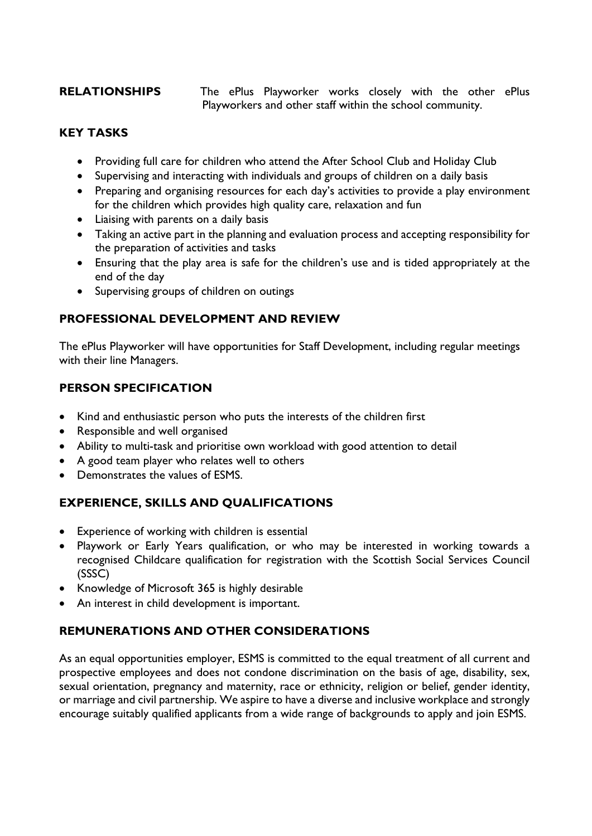**RELATIONSHIPS** The ePlus Playworker works closely with the other ePlus Playworkers and other staff within the school community.

### **KEY TASKS**

- Providing full care for children who attend the After School Club and Holiday Club
- Supervising and interacting with individuals and groups of children on a daily basis
- Preparing and organising resources for each day's activities to provide a play environment for the children which provides high quality care, relaxation and fun
- Liaising with parents on a daily basis
- Taking an active part in the planning and evaluation process and accepting responsibility for the preparation of activities and tasks
- Ensuring that the play area is safe for the children's use and is tided appropriately at the end of the day
- Supervising groups of children on outings

#### **PROFESSIONAL DEVELOPMENT AND REVIEW**

The ePlus Playworker will have opportunities for Staff Development, including regular meetings with their line Managers.

# **PERSON SPECIFICATION**

- Kind and enthusiastic person who puts the interests of the children first
- Responsible and well organised
- Ability to multi-task and prioritise own workload with good attention to detail
- A good team player who relates well to others
- Demonstrates the values of ESMS.

# **EXPERIENCE, SKILLS AND QUALIFICATIONS**

- Experience of working with children is essential
- Playwork or Early Years qualification, or who may be interested in working towards a recognised Childcare qualification for registration with the Scottish Social Services Council (SSSC)
- Knowledge of Microsoft 365 is highly desirable
- An interest in child development is important.

#### **REMUNERATIONS AND OTHER CONSIDERATIONS**

As an equal opportunities employer, ESMS is committed to the equal treatment of all current and prospective employees and does not condone discrimination on the basis of age, disability, sex, sexual orientation, pregnancy and maternity, race or ethnicity, religion or belief, gender identity, or marriage and civil partnership. We aspire to have a diverse and inclusive workplace and strongly encourage suitably qualified applicants from a wide range of backgrounds to apply and join ESMS.